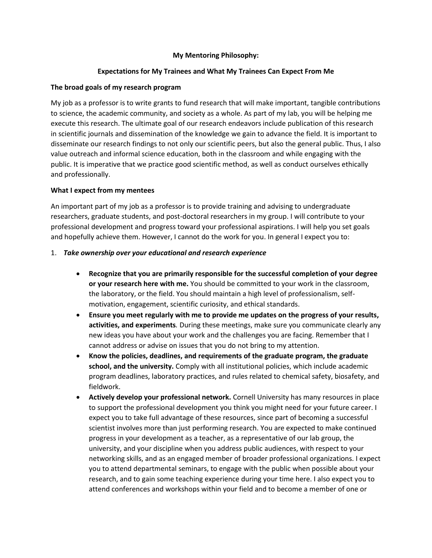# **My Mentoring Philosophy:**

# **Expectations for My Trainees and What My Trainees Can Expect From Me**

## **The broad goals of my research program**

My job as a professor is to write grants to fund research that will make important, tangible contributions to science, the academic community, and society as a whole. As part of my lab, you will be helping me execute this research. The ultimate goal of our research endeavors include publication of this research in scientific journals and dissemination of the knowledge we gain to advance the field. It is important to disseminate our research findings to not only our scientific peers, but also the general public. Thus, I also value outreach and informal science education, both in the classroom and while engaging with the public. It is imperative that we practice good scientific method, as well as conduct ourselves ethically and professionally.

## **What I expect from my mentees**

An important part of my job as a professor is to provide training and advising to undergraduate researchers, graduate students, and post-doctoral researchers in my group. I will contribute to your professional development and progress toward your professional aspirations. I will help you set goals and hopefully achieve them. However, I cannot do the work for you. In general I expect you to:

## 1. *Take ownership over your educational and research experience*

- **Recognize that you are primarily responsible for the successful completion of your degree or your research here with me.** You should be committed to your work in the classroom, the laboratory, or the field. You should maintain a high level of professionalism, selfmotivation, engagement, scientific curiosity, and ethical standards.
- **Ensure you meet regularly with me to provide me updates on the progress of your results, activities, and experiments***.* During these meetings, make sure you communicate clearly any new ideas you have about your work and the challenges you are facing. Remember that I cannot address or advise on issues that you do not bring to my attention.
- **Know the policies, deadlines, and requirements of the graduate program, the graduate school, and the university.** Comply with all institutional policies, which include academic program deadlines, laboratory practices, and rules related to chemical safety, biosafety, and fieldwork.
- **Actively develop your professional network.** Cornell University has many resources in place to support the professional development you think you might need for your future career. I expect you to take full advantage of these resources, since part of becoming a successful scientist involves more than just performing research. You are expected to make continued progress in your development as a teacher, as a representative of our lab group, the university, and your discipline when you address public audiences, with respect to your networking skills, and as an engaged member of broader professional organizations. I expect you to attend departmental seminars, to engage with the public when possible about your research, and to gain some teaching experience during your time here. I also expect you to attend conferences and workshops within your field and to become a member of one or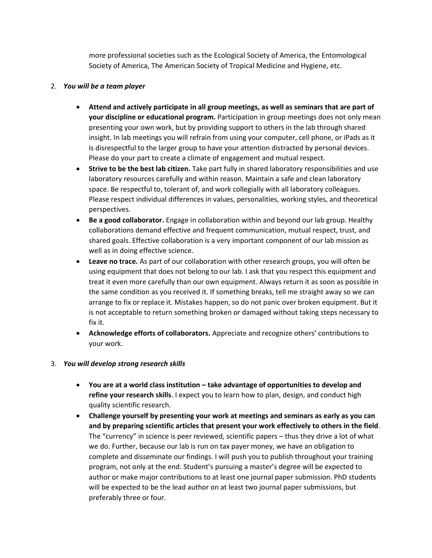more professional societies such as the Ecological Society of America, the Entomological Society of America, The American Society of Tropical Medicine and Hygiene, etc.

## 2. *You will be a team player*

- **Attend and actively participate in all group meetings, as well as seminars that are part of your discipline or educational program.** Participation in group meetings does not only mean presenting your own work, but by providing support to others in the lab through shared insight. In lab meetings you will refrain from using your computer, cell phone, or iPads as it is disrespectful to the larger group to have your attention distracted by personal devices. Please do your part to create a climate of engagement and mutual respect.
- **Strive to be the best lab citizen.** Take part fully in shared laboratory responsibilities and use laboratory resources carefully and within reason. Maintain a safe and clean laboratory space. Be respectful to, tolerant of, and work collegially with all laboratory colleagues. Please respect individual differences in values, personalities, working styles, and theoretical perspectives.
- **Be a good collaborator.** Engage in collaboration within and beyond our lab group. Healthy collaborations demand effective and frequent communication, mutual respect, trust, and shared goals. Effective collaboration is a very important component of our lab mission as well as in doing effective science.
- **Leave no trace.** As part of our collaboration with other research groups, you will often be using equipment that does not belong to our lab. I ask that you respect this equipment and treat it even more carefully than our own equipment. Always return it as soon as possible in the same condition as you received it. If something breaks, tell me straight away so we can arrange to fix or replace it. Mistakes happen, so do not panic over broken equipment. But it is not acceptable to return something broken or damaged without taking steps necessary to fix it.
- **Acknowledge efforts of collaborators.** Appreciate and recognize others' contributions to your work.

## 3. *You will develop strong research skills*

- **You are at a world class institution – take advantage of opportunities to develop and refine your research skills**. I expect you to learn how to plan, design, and conduct high quality scientific research.
- **Challenge yourself by presenting your work at meetings and seminars as early as you can and by preparing scientific articles that present your work effectively to others in the field**. The "currency" in science is peer reviewed, scientific papers – thus they drive a lot of what we do. Further, because our lab is run on tax payer money, we have an obligation to complete and disseminate our findings. I will push you to publish throughout your training program, not only at the end. Student's pursuing a master's degree will be expected to author or make major contributions to at least one journal paper submission. PhD students will be expected to be the lead author on at least two journal paper submissions, but preferably three or four.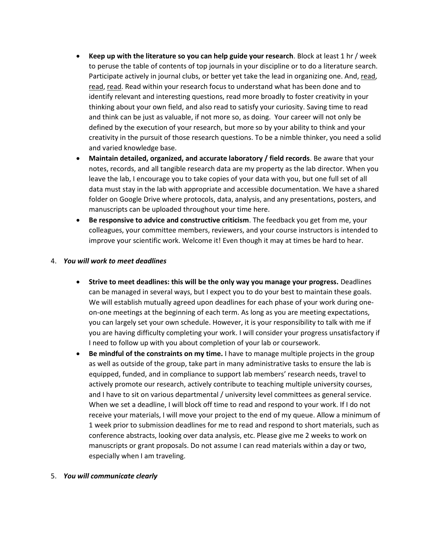- **Keep up with the literature so you can help guide your research**. Block at least 1 hr / week to peruse the table of contents of top journals in your discipline or to do a literature search. Participate actively in journal clubs, or better yet take the lead in organizing one. And, read, read, read. Read within your research focus to understand what has been done and to identify relevant and interesting questions, read more broadly to foster creativity in your thinking about your own field, and also read to satisfy your curiosity. Saving time to read and think can be just as valuable, if not more so, as doing. Your career will not only be defined by the execution of your research, but more so by your ability to think and your creativity in the pursuit of those research questions. To be a nimble thinker, you need a solid and varied knowledge base.
- **Maintain detailed, organized, and accurate laboratory / field records**. Be aware that your notes, records, and all tangible research data are my property as the lab director. When you leave the lab, I encourage you to take copies of your data with you, but one full set of all data must stay in the lab with appropriate and accessible documentation. We have a shared folder on Google Drive where protocols, data, analysis, and any presentations, posters, and manuscripts can be uploaded throughout your time here.
- **Be responsive to advice and constructive criticism**. The feedback you get from me, your colleagues, your committee members, reviewers, and your course instructors is intended to improve your scientific work. Welcome it! Even though it may at times be hard to hear.

## 4. *You will work to meet deadlines*

- **Strive to meet deadlines: this will be the only way you manage your progress.** Deadlines can be managed in several ways, but I expect you to do your best to maintain these goals. We will establish mutually agreed upon deadlines for each phase of your work during oneon-one meetings at the beginning of each term. As long as you are meeting expectations, you can largely set your own schedule. However, it is your responsibility to talk with me if you are having difficulty completing your work. I will consider your progress unsatisfactory if I need to follow up with you about completion of your lab or coursework.
- **Be mindful of the constraints on my time.** I have to manage multiple projects in the group as well as outside of the group, take part in many administrative tasks to ensure the lab is equipped, funded, and in compliance to support lab members' research needs, travel to actively promote our research, actively contribute to teaching multiple university courses, and I have to sit on various departmental / university level committees as general service. When we set a deadline, I will block off time to read and respond to your work. If I do not receive your materials, I will move your project to the end of my queue. Allow a minimum of 1 week prior to submission deadlines for me to read and respond to short materials, such as conference abstracts, looking over data analysis, etc. Please give me 2 weeks to work on manuscripts or grant proposals. Do not assume I can read materials within a day or two, especially when I am traveling.

#### 5. *You will communicate clearly*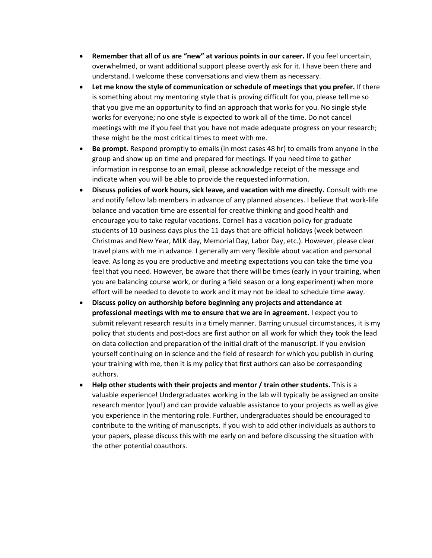- **Remember that all of us are "new" at various points in our career.** If you feel uncertain, overwhelmed, or want additional support please overtly ask for it. I have been there and understand. I welcome these conversations and view them as necessary.
- **Let me know the style of communication or schedule of meetings that you prefer.** If there is something about my mentoring style that is proving difficult for you, please tell me so that you give me an opportunity to find an approach that works for you. No single style works for everyone; no one style is expected to work all of the time. Do not cancel meetings with me if you feel that you have not made adequate progress on your research; these might be the most critical times to meet with me.
- **Be prompt.** Respond promptly to emails (in most cases 48 hr) to emails from anyone in the group and show up on time and prepared for meetings. If you need time to gather information in response to an email, please acknowledge receipt of the message and indicate when you will be able to provide the requested information.
- **Discuss policies of work hours, sick leave, and vacation with me directly.** Consult with me and notify fellow lab members in advance of any planned absences. I believe that work-life balance and vacation time are essential for creative thinking and good health and encourage you to take regular vacations. Cornell has a vacation policy for graduate students of 10 business days plus the 11 days that are official holidays (week between Christmas and New Year, MLK day, Memorial Day, Labor Day, etc.). However, please clear travel plans with me in advance. I generally am very flexible about vacation and personal leave. As long as you are productive and meeting expectations you can take the time you feel that you need. However, be aware that there will be times (early in your training, when you are balancing course work, or during a field season or a long experiment) when more effort will be needed to devote to work and it may not be ideal to schedule time away.
- **Discuss policy on authorship before beginning any projects and attendance at professional meetings with me to ensure that we are in agreement.** I expect you to submit relevant research results in a timely manner. Barring unusual circumstances, it is my policy that students and post-docs are first author on all work for which they took the lead on data collection and preparation of the initial draft of the manuscript. If you envision yourself continuing on in science and the field of research for which you publish in during your training with me, then it is my policy that first authors can also be corresponding authors.
- **Help other students with their projects and mentor / train other students.** This is a valuable experience! Undergraduates working in the lab will typically be assigned an onsite research mentor (you!) and can provide valuable assistance to your projects as well as give you experience in the mentoring role. Further, undergraduates should be encouraged to contribute to the writing of manuscripts. If you wish to add other individuals as authors to your papers, please discuss this with me early on and before discussing the situation with the other potential coauthors.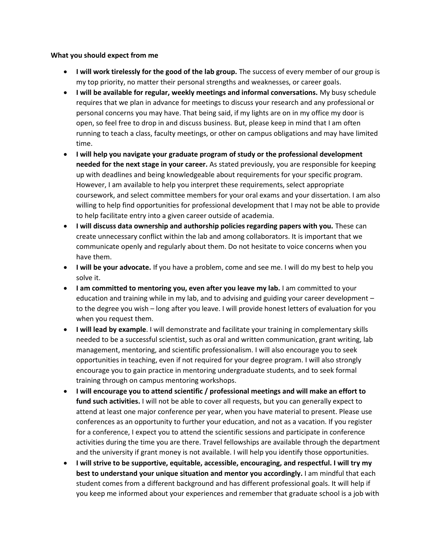#### **What you should expect from me**

- **I will work tirelessly for the good of the lab group.** The success of every member of our group is my top priority, no matter their personal strengths and weaknesses, or career goals.
- **I will be available for regular, weekly meetings and informal conversations.** My busy schedule requires that we plan in advance for meetings to discuss your research and any professional or personal concerns you may have. That being said, if my lights are on in my office my door is open, so feel free to drop in and discuss business. But, please keep in mind that I am often running to teach a class, faculty meetings, or other on campus obligations and may have limited time.
- **I will help you navigate your graduate program of study or the professional development needed for the next stage in your career.** As stated previously, you are responsible for keeping up with deadlines and being knowledgeable about requirements for your specific program. However, I am available to help you interpret these requirements, select appropriate coursework, and select committee members for your oral exams and your dissertation. I am also willing to help find opportunities for professional development that I may not be able to provide to help facilitate entry into a given career outside of academia.
- **I will discuss data ownership and authorship policies regarding papers with you.** These can create unnecessary conflict within the lab and among collaborators. It is important that we communicate openly and regularly about them. Do not hesitate to voice concerns when you have them.
- **I will be your advocate.** If you have a problem, come and see me. I will do my best to help you solve it.
- **I am committed to mentoring you, even after you leave my lab.** I am committed to your education and training while in my lab, and to advising and guiding your career development – to the degree you wish – long after you leave. I will provide honest letters of evaluation for you when you request them.
- **I will lead by example**. I will demonstrate and facilitate your training in complementary skills needed to be a successful scientist, such as oral and written communication, grant writing, lab management, mentoring, and scientific professionalism. I will also encourage you to seek opportunities in teaching, even if not required for your degree program. I will also strongly encourage you to gain practice in mentoring undergraduate students, and to seek formal training through on campus mentoring workshops.
- **I will encourage you to attend scientific / professional meetings and will make an effort to fund such activities.** I will not be able to cover all requests, but you can generally expect to attend at least one major conference per year, when you have material to present. Please use conferences as an opportunity to further your education, and not as a vacation. If you register for a conference, I expect you to attend the scientific sessions and participate in conference activities during the time you are there. Travel fellowships are available through the department and the university if grant money is not available. I will help you identify those opportunities.
- **I will strive to be supportive, equitable, accessible, encouraging, and respectful. I will try my best to understand your unique situation and mentor you accordingly.** I am mindful that each student comes from a different background and has different professional goals. It will help if you keep me informed about your experiences and remember that graduate school is a job with